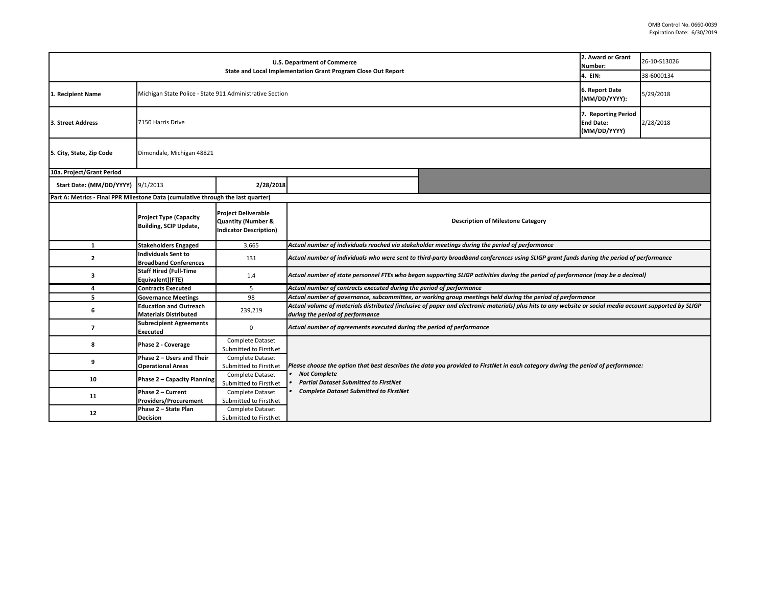| U.S. Department of Commerce                                                      |                                                                |                                                                                              |                                                                                                                                                                                              |                                                                                                                                   | 2. Award or Grant<br>Number: | 26-10-S13026 |  |  |
|----------------------------------------------------------------------------------|----------------------------------------------------------------|----------------------------------------------------------------------------------------------|----------------------------------------------------------------------------------------------------------------------------------------------------------------------------------------------|-----------------------------------------------------------------------------------------------------------------------------------|------------------------------|--------------|--|--|
|                                                                                  |                                                                |                                                                                              | State and Local Implementation Grant Program Close Out Report                                                                                                                                |                                                                                                                                   | 4. EIN:                      | 38-6000134   |  |  |
| 1. Recipient Name                                                                | Michigan State Police - State 911 Administrative Section       |                                                                                              |                                                                                                                                                                                              |                                                                                                                                   |                              | 5/29/2018    |  |  |
| 3. Street Address                                                                | 7150 Harris Drive                                              |                                                                                              |                                                                                                                                                                                              |                                                                                                                                   |                              |              |  |  |
| 5. City, State, Zip Code                                                         | Dimondale, Michigan 48821                                      |                                                                                              |                                                                                                                                                                                              |                                                                                                                                   |                              |              |  |  |
| 10a. Project/Grant Period                                                        |                                                                |                                                                                              |                                                                                                                                                                                              |                                                                                                                                   |                              |              |  |  |
| Start Date: (MM/DD/YYYY) 9/1/2013                                                |                                                                | 2/28/2018                                                                                    |                                                                                                                                                                                              |                                                                                                                                   |                              |              |  |  |
| Part A: Metrics - Final PPR Milestone Data (cumulative through the last quarter) |                                                                |                                                                                              |                                                                                                                                                                                              |                                                                                                                                   |                              |              |  |  |
|                                                                                  | <b>Project Type (Capacity</b><br><b>Building, SCIP Update,</b> | <b>Project Deliverable</b><br><b>Quantity (Number &amp;</b><br><b>Indicator Description)</b> |                                                                                                                                                                                              | <b>Description of Milestone Category</b>                                                                                          |                              |              |  |  |
| $\mathbf{1}$                                                                     | <b>Stakeholders Engaged</b>                                    | 3,665                                                                                        |                                                                                                                                                                                              | Actual number of individuals reached via stakeholder meetings during the period of performance                                    |                              |              |  |  |
| $\overline{2}$                                                                   | <b>Individuals Sent to</b><br><b>Broadband Conferences</b>     | 131                                                                                          | Actual number of individuals who were sent to third-party broadband conferences using SLIGP grant funds during the period of performance                                                     |                                                                                                                                   |                              |              |  |  |
| з                                                                                | <b>Staff Hired (Full-Time</b><br>Equivalent)(FTE)              | 1.4                                                                                          | Actual number of state personnel FTEs who began supporting SLIGP activities during the period of performance (may be a decimal)                                                              |                                                                                                                                   |                              |              |  |  |
| 4                                                                                | <b>Contracts Executed</b>                                      | 5                                                                                            | Actual number of contracts executed during the period of performance                                                                                                                         |                                                                                                                                   |                              |              |  |  |
| 5                                                                                | <b>Governance Meetings</b>                                     | 98                                                                                           | Actual number of governance, subcommittee, or working group meetings held during the period of performance                                                                                   |                                                                                                                                   |                              |              |  |  |
| 6                                                                                | <b>Education and Outreach</b><br><b>Materials Distributed</b>  | 239,219                                                                                      | Actual volume of materials distributed (inclusive of paper and electronic materials) plus hits to any website or social media account supported by SLIGP<br>during the period of performance |                                                                                                                                   |                              |              |  |  |
| $\overline{7}$                                                                   | <b>Subrecipient Agreements</b><br><b>Executed</b>              | $\mathbf 0$                                                                                  | Actual number of agreements executed during the period of performance                                                                                                                        |                                                                                                                                   |                              |              |  |  |
| 8                                                                                | Phase 2 - Coverage                                             | Complete Dataset<br>Submitted to FirstNet                                                    |                                                                                                                                                                                              |                                                                                                                                   |                              |              |  |  |
| 9                                                                                | Phase 2 - Users and Their<br><b>Operational Areas</b>          | Complete Dataset<br>Submitted to FirstNet                                                    |                                                                                                                                                                                              | Please choose the option that best describes the data you provided to FirstNet in each category during the period of performance: |                              |              |  |  |
| 10                                                                               | Phase 2 - Capacity Planning                                    | Complete Dataset<br>Submitted to FirstNet                                                    | <b>Not Complete</b><br><b>Partial Dataset Submitted to FirstNet</b>                                                                                                                          |                                                                                                                                   |                              |              |  |  |
| 11                                                                               | Phase 2 - Current<br><b>Providers/Procurement</b>              | Complete Dataset<br>Submitted to FirstNet                                                    | <b>Complete Dataset Submitted to FirstNet</b>                                                                                                                                                |                                                                                                                                   |                              |              |  |  |
| 12                                                                               | Phase 2 - State Plan<br><b>Decision</b>                        | Complete Dataset<br>Submitted to FirstNet                                                    |                                                                                                                                                                                              |                                                                                                                                   |                              |              |  |  |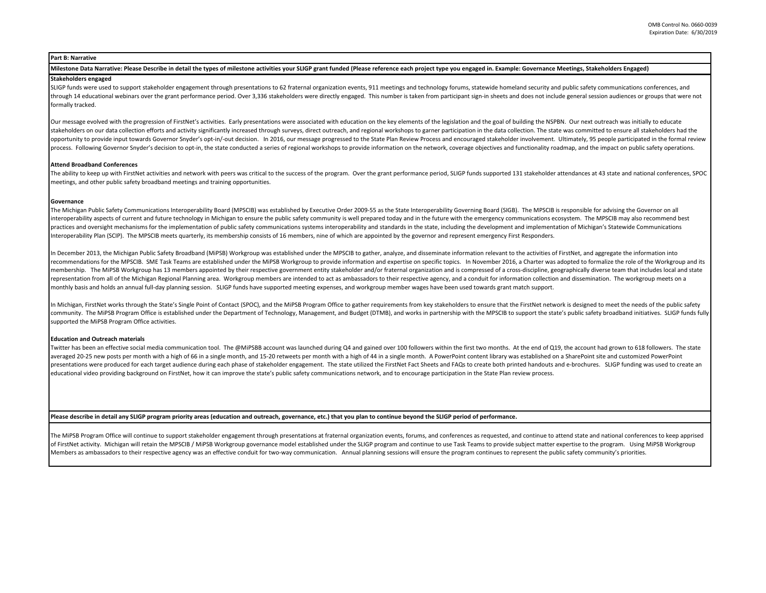# **Part B: Narrative**

### **Milestone Data Narrative: Please Describe in detail the types of milestone activities your SLIGP grant funded (Please reference each project type you engaged in. Example: Governance Meetings, Stakeholders Engaged)**

## **Stakeholders engaged**

SLIGP funds were used to support stakeholder engagement through presentations to 62 fraternal organization events, 911 meetings and technology forums, statewide homeland security and public safety communications conference through 14 educational webinars over the grant performance period. Over 3,336 stakeholders were directly engaged. This number is taken from participant sign-in sheets and does not include general session audiences or group formally tracked.

Our message evolved with the progression of FirstNet's activities. Early presentations were associated with education on the key elements of the legislation and the goal of building the NSPBN. Our next outreach was initial stakeholders on our data collection efforts and activity significantly increased through surveys, direct outreach, and regional workshops to garner participation in the data collection. The state was committed to ensure al opportunity to provide input towards Governor Snyder's opt-in/-out decision. In 2016, our message progressed to the State Plan Review Process and encouraged stakeholder involvement. Ultimately, 95 people participated in th process. Following Governor Snyder's decision to opt-in, the state conducted a series of regional workshops to provide information on the network, coverage objectives and functionality roadmap, and the impact on public saf

## **Attend Broadband Conferences**

The ability to keep up with FirstNet activities and network with peers was critical to the success of the program. Over the grant performance period, SLIGP funds supported 131 stakeholder attendances at 43 state and nation meetings, and other public safety broadband meetings and training opportunities.

### **Governance**

The Michigan Public Safety Communications Interoperability Board (MPSCIB) was established by Executive Order 2009-55 as the State Interoperability Governing Board (SIGB). The MPSCIB is responsible for advising the Governor interoperability aspects of current and future technology in Michigan to ensure the public safety community is well prepared today and in the future with the emergency communications ecosystem. The MPSCIB may also recommen practices and oversight mechanisms for the implementation of public safety communications systems interoperability and standards in the state, including the development and implementation of Michigan's Statewide Communicat Interoperability Plan (SCIP). The MPSCIB meets quarterly, its membership consists of 16 members, nine of which are appointed by the governor and represent emergency First Responders.

In December 2013, the Michigan Public Safety Broadband (MiPSB) Workgroup was established under the MPSCIB to gather, analyze, and disseminate information relevant to the activities of FirstNet, and aggregate the informatio recommendations for the MPSCIB. SME Task Teams are established under the MiPSB Workgroup to provide information and expertise on specific topics. In November 2016, a Charter was adopted to formalize the role of the Workgro membership. The MiPSB Workgroup has 13 members appointed by their respective government entity stakeholder and/or fraternal organization and is compressed of a cross-discipline, geographically diverse team that includes lo representation from all of the Michigan Regional Planning area. Workgroup members are intended to act as ambassadors to their respective agency, and a conduit for information collection and dissemination. The workgroup mee monthly basis and holds an annual full-day planning session. SLIGP funds have supported meeting expenses, and workgroup member wages have been used towards grant match support.

In Michigan, FirstNet works through the State's Single Point of Contact (SPOC), and the MiPSB Program Office to gather requirements from key stakeholders to ensure that the FirstNet network is designed to meet the needs of community. The MiPSB Program Office is established under the Department of Technology, Management, and Budget (DTMB), and works in partnership with the MPSCIB to support the state's public safety broadband initiatives. SLI supported the MiPSB Program Office activities.

#### **Education and Outreach materials**

Twitter has been an effective social media communication tool. The @MiPSBB account was launched during Q4 and gained over 100 followers within the first two months. At the end of Q19, the account had grown to 618 followers averaged 20-25 new posts per month with a high of 66 in a single month, and 15-20 retweets per month with a high of 44 in a single month. A PowerPoint content library was established on a SharePoint site and customized Pow presentations were produced for each target audience during each phase of stakeholder engagement. The state utilized the FirstNet Fact Sheets and FAQs to create both printed handouts and e-brochures. SLIGP funding was used educational video providing background on FirstNet, how it can improve the state's public safety communications network, and to encourage participation in the State Plan review process.

### **Please describe in detail any SLIGP program priority areas (education and outreach, governance, etc.) that you plan to continue beyond the SLIGP period of performance.**

The MiPSB Program Office will continue to support stakeholder engagement through presentations at fraternal organization events, forums, and conferences as requested, and continue to attend state and national conferences t of FirstNet activity. Michigan will retain the MPSCIB / MiPSB Workgroup governance model established under the SLIGP program and continue to use Task Teams to provide subject matter expertise to the program. Using MiPSB Wo Members as ambassadors to their respective agency was an effective conduit for two-way communication. Annual planning sessions will ensure the program continues to represent the public safety community's priorities.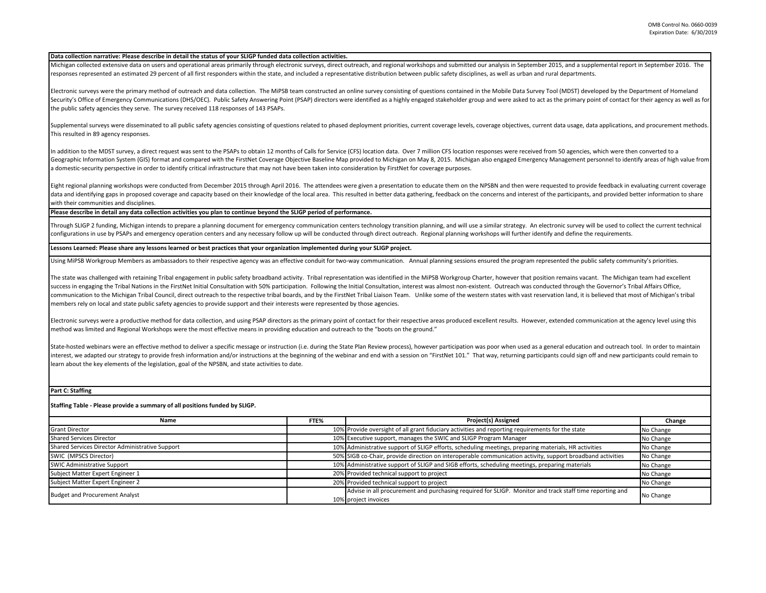#### **Data collection narrative: Please describe in detail the status of your SLIGP funded data collection activities.**

Michigan collected extensive data on users and operational areas primarily through electronic surveys, direct outreach, and regional workshops and submitted our analysis in September 2015, and a supplemental report in Sept responses represented an estimated 29 percent of all first responders within the state, and included a representative distribution between public safety disciplines, as well as urban and rural departments.

Electronic surveys were the primary method of outreach and data collection. The MiPSB team constructed an online survey consisting of questions contained in the Mobile Data Survey Tool (MDST) developed by the Department of Security's Office of Emergency Communications (DHS/OEC). Public Safety Answering Point (PSAP) directors were identified as a highly engaged stakeholder group and were asked to act as the primary point of contact for their the public safety agencies they serve. The survey received 118 responses of 143 PSAPs.

Supplemental surveys were disseminated to all public safety agencies consisting of questions related to phased deployment priorities, current coverage levels, coverage objectives, current data usage, data applications, and This resulted in 89 agency responses.

In addition to the MDST survey, a direct request was sent to the PSAPs to obtain 12 months of Calls for Service (CFS) location data. Over 7 million CFS location responses were received from 50 agencies, which were then con Geographic Information System (GIS) format and compared with the FirstNet Coverage Objective Baseline Map provided to Michigan on May 8, 2015. Michigan also engaged Emergency Management personnel to identify areas of high a domestic-security perspective in order to identify critical infrastructure that may not have been taken into consideration by FirstNet for coverage purposes.

Eight regional planning workshops were conducted from December 2015 through April 2016. The attendees were given a presentation to educate them on the NPSBN and then were requested to provide feedback in evaluating current data and identifying gaps in proposed coverage and capacity based on their knowledge of the local area. This resulted in better data gathering, feedback on the concerns and interest of the participants, and provided better with their communities and disciplines.

**Please describe in detail any data collection activities you plan to continue beyond the SLIGP period of performance.**

Through SLIGP 2 funding, Michigan intends to prepare a planning document for emergency communication centers technology transition planning, and will use a similar strategy. An electronic survey will be used to collect the configurations in use by PSAPs and emergency operation centers and any necessary follow up will be conducted through direct outreach. Regional planning workshops will further identify and define the requirements.

# **Lessons Learned: Please share any lessons learned or best practices that your organization implemented during your SLIGP project.**

Using MiPSB Workgroup Members as ambassadors to their respective agency was an effective conduit for two-way communication. Annual planning sessions ensured the program represented the public safety community's priorities.

The state was challenged with retaining Tribal engagement in public safety broadband activity. Tribal representation was identified in the MiPSB Workgroup Charter, however that position remains vacant. The Michigan team ha success in engaging the Tribal Nations in the FirstNet Initial Consultation with 50% participation. Following the Initial Consultation, interest was almost non-existent. Outreach was conducted through the Governor's Tribal communication to the Michigan Tribal Council, direct outreach to the respective tribal boards, and by the FirstNet Tribal Liaison Team. Unlike some of the western states with vast reservation land, it is believed that most members rely on local and state public safety agencies to provide support and their interests were represented by those agencies.

Electronic surveys were a productive method for data collection, and using PSAP directors as the primary point of contact for their respective areas produced excellent results. However, extended communication at the agency method was limited and Regional Workshops were the most effective means in providing education and outreach to the "boots on the ground."

State-hosted webinars were an effective method to deliver a specific message or instruction (i.e. during the State Plan Review process), however participation was poor when used as a general education and outreach tool. In interest, we adapted our strategy to provide fresh information and/or instructions at the beginning of the webinar and end with a session on "FirstNet 101." That way, returning participants could sign off and new participa learn about the key elements of the legislation, goal of the NPSBN, and state activities to date.

**Part C: Staffing**

**Staffing Table - Please provide a summary of all positions funded by SLIGP.**

| Name                                            | FTE% | Project(s) Assigned                                                                                                             | Change    |
|-------------------------------------------------|------|---------------------------------------------------------------------------------------------------------------------------------|-----------|
| <b>Grant Director</b>                           |      | 10% Provide oversight of all grant fiduciary activities and reporting requirements for the state                                | No Change |
| Shared Services Director                        |      | 10% Executive support, manages the SWIC and SLIGP Program Manager                                                               | No Change |
| Shared Services Director Administrative Support |      | 10% Administrative support of SLIGP efforts, scheduling meetings, preparing materials, HR activities                            | No Change |
| SWIC (MPSCS Director)                           |      | 50% SIGB co-Chair, provide direction on interoperable communication activity, support broadband activities                      | No Change |
| <b>SWIC Administrative Support</b>              |      | 10% Administrative support of SLIGP and SIGB efforts, scheduling meetings, preparing materials                                  | No Change |
| Subject Matter Expert Engineer 1                |      | 20% Provided technical support to project                                                                                       | No Change |
| Subject Matter Expert Engineer 2                |      | 20% Provided technical support to project                                                                                       | No Change |
| <b>Budget and Procurement Analyst</b>           |      | Advise in all procurement and purchasing required for SLIGP. Monitor and track staff time reporting and<br>10% project invoices | No Change |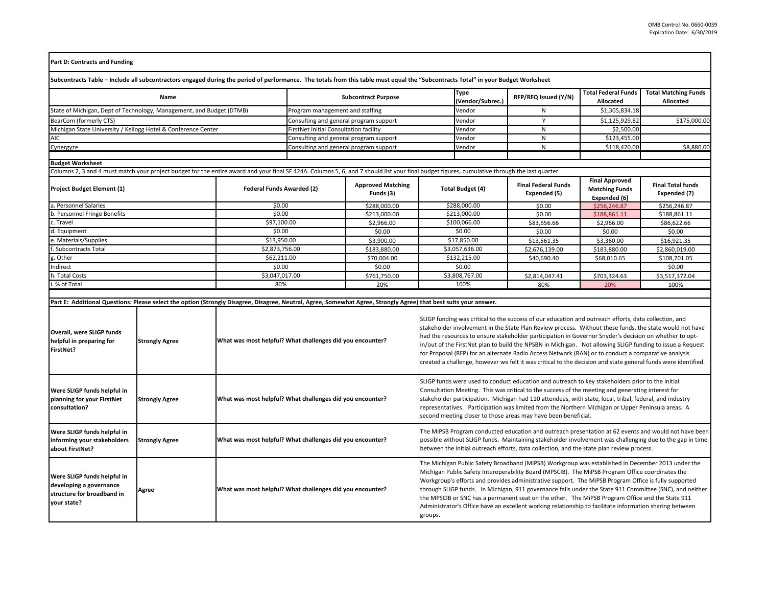| <b>Part D: Contracts and Funding</b>                                                                                                                                                          |                       |                                  |                                                           |                                       |                                 |                                                                                                                                                                                                                                                                                                                                                                                                                                                                                                                                                                                                                                                                 |                                            |                                                                |                                          |  |
|-----------------------------------------------------------------------------------------------------------------------------------------------------------------------------------------------|-----------------------|----------------------------------|-----------------------------------------------------------|---------------------------------------|---------------------------------|-----------------------------------------------------------------------------------------------------------------------------------------------------------------------------------------------------------------------------------------------------------------------------------------------------------------------------------------------------------------------------------------------------------------------------------------------------------------------------------------------------------------------------------------------------------------------------------------------------------------------------------------------------------------|--------------------------------------------|----------------------------------------------------------------|------------------------------------------|--|
| Subcontracts Table – Include all subcontractors engaged during the period of performance. The totals from this table must equal the "Subcontracts Total" in your Budget Worksheet             |                       |                                  |                                                           |                                       |                                 |                                                                                                                                                                                                                                                                                                                                                                                                                                                                                                                                                                                                                                                                 |                                            |                                                                |                                          |  |
| Name                                                                                                                                                                                          |                       |                                  | <b>Subcontract Purpose</b>                                |                                       | <b>Type</b><br>(Vendor/Subrec.) | RFP/RFQ Issued (Y/N)                                                                                                                                                                                                                                                                                                                                                                                                                                                                                                                                                                                                                                            | <b>Total Federal Funds</b><br>Allocated    | <b>Total Matching Funds</b><br>Allocated                       |                                          |  |
|                                                                                                                                                                                               |                       | Program management and staffing  |                                                           |                                       | Vendor                          | N                                                                                                                                                                                                                                                                                                                                                                                                                                                                                                                                                                                                                                                               | \$1,305,834.18                             |                                                                |                                          |  |
| State of Michigan, Dept of Technology, Management, and Budget (DTMB)<br>BearCom (formerly CTS)                                                                                                |                       |                                  | Consulting and general program support                    |                                       |                                 | Vendor                                                                                                                                                                                                                                                                                                                                                                                                                                                                                                                                                                                                                                                          | Y                                          | \$1,125,929.82                                                 | \$175,000.00                             |  |
|                                                                                                                                                                                               |                       |                                  | FirstNet Initial Consultation facility                    |                                       |                                 | Vendor                                                                                                                                                                                                                                                                                                                                                                                                                                                                                                                                                                                                                                                          | $\mathsf{N}$                               | \$2,500.00                                                     |                                          |  |
| Michigan State University / Kellogg Hotel & Conference Center<br>AIC                                                                                                                          |                       |                                  | Consulting and general program support                    |                                       |                                 | Vendor                                                                                                                                                                                                                                                                                                                                                                                                                                                                                                                                                                                                                                                          | $\mathsf{N}$                               | \$123,455.00                                                   |                                          |  |
| Cynergyze                                                                                                                                                                                     |                       |                                  | Consulting and general program support                    |                                       |                                 | Vendor                                                                                                                                                                                                                                                                                                                                                                                                                                                                                                                                                                                                                                                          | N                                          | \$118,420.00                                                   | \$8,880.00                               |  |
|                                                                                                                                                                                               |                       |                                  |                                                           |                                       |                                 |                                                                                                                                                                                                                                                                                                                                                                                                                                                                                                                                                                                                                                                                 |                                            |                                                                |                                          |  |
| <b>Budget Worksheet</b>                                                                                                                                                                       |                       |                                  |                                                           |                                       |                                 |                                                                                                                                                                                                                                                                                                                                                                                                                                                                                                                                                                                                                                                                 |                                            |                                                                |                                          |  |
| Columns 2, 3 and 4 must match your project budget for the entire award and your final SF 424A. Columns 5, 6, and 7 should list your final budget figures, cumulative through the last quarter |                       |                                  |                                                           |                                       |                                 |                                                                                                                                                                                                                                                                                                                                                                                                                                                                                                                                                                                                                                                                 |                                            |                                                                |                                          |  |
| Project Budget Element (1)                                                                                                                                                                    |                       | <b>Federal Funds Awarded (2)</b> |                                                           | <b>Approved Matching</b><br>Funds (3) | <b>Total Budget (4)</b>         |                                                                                                                                                                                                                                                                                                                                                                                                                                                                                                                                                                                                                                                                 | <b>Final Federal Funds</b><br>Expended (5) | <b>Final Approved</b><br><b>Matching Funds</b><br>Expended (6) | <b>Final Total funds</b><br>Expended (7) |  |
| a. Personnel Salaries                                                                                                                                                                         |                       | \$0.00                           |                                                           | \$288,000.00                          | \$288,000.00                    |                                                                                                                                                                                                                                                                                                                                                                                                                                                                                                                                                                                                                                                                 | \$0.00                                     | \$256,246.87                                                   | \$256,246.87                             |  |
| b. Personnel Fringe Benefits                                                                                                                                                                  |                       | \$0.00                           |                                                           | \$213,000.00                          | \$213,000.00                    |                                                                                                                                                                                                                                                                                                                                                                                                                                                                                                                                                                                                                                                                 | \$0.00                                     | \$188,861.11                                                   | \$188,861.11                             |  |
| c. Travel                                                                                                                                                                                     |                       | \$97,100.00                      |                                                           | \$2,966.00                            | \$100,066.00                    |                                                                                                                                                                                                                                                                                                                                                                                                                                                                                                                                                                                                                                                                 | \$83,656.66                                | \$2,966.00                                                     | \$86,622.66                              |  |
| d. Equipment                                                                                                                                                                                  |                       | \$0.00                           |                                                           | \$0.00                                | \$0.00                          |                                                                                                                                                                                                                                                                                                                                                                                                                                                                                                                                                                                                                                                                 | \$0.00                                     | \$0.00                                                         | \$0.00                                   |  |
| e. Materials/Supplies                                                                                                                                                                         |                       | \$13,950.00                      |                                                           | \$3,900.00                            | \$17,850.00                     |                                                                                                                                                                                                                                                                                                                                                                                                                                                                                                                                                                                                                                                                 | \$13,561.35                                | \$3,360.00                                                     | \$16,921.35                              |  |
| Subcontracts Total                                                                                                                                                                            |                       | \$2,873,756.00                   |                                                           | \$183,880.00                          | \$3,057,636.00                  |                                                                                                                                                                                                                                                                                                                                                                                                                                                                                                                                                                                                                                                                 | \$2,676,139.00                             | \$183,880.00                                                   | \$2,860,019.00                           |  |
| g. Other                                                                                                                                                                                      |                       | \$62,211.00                      |                                                           | \$70.004.00                           | \$132,215.00                    |                                                                                                                                                                                                                                                                                                                                                                                                                                                                                                                                                                                                                                                                 | \$40,690.40                                | \$68,010.65                                                    | \$108,701.05                             |  |
| Indirect                                                                                                                                                                                      |                       | \$0.00                           |                                                           | \$0.00                                | \$0.00                          |                                                                                                                                                                                                                                                                                                                                                                                                                                                                                                                                                                                                                                                                 |                                            |                                                                | \$0.00                                   |  |
| h. Total Costs                                                                                                                                                                                |                       | \$3,047,017.00                   |                                                           | \$761,750.00                          | \$3,808,767.00                  |                                                                                                                                                                                                                                                                                                                                                                                                                                                                                                                                                                                                                                                                 | \$2,814,047.41                             | \$703,324.63                                                   | \$3,517,372.04                           |  |
| % of Total                                                                                                                                                                                    |                       | 80%                              |                                                           | 20%                                   | 100%                            |                                                                                                                                                                                                                                                                                                                                                                                                                                                                                                                                                                                                                                                                 | 80%                                        | 20%                                                            | 100%                                     |  |
| Part E: Additional Questions: Please select the option (Strongly Disagree, Disagree, Neutral, Agree, Somewhat Agree, Strongly Agree) that best suits your answer.                             |                       |                                  |                                                           |                                       |                                 |                                                                                                                                                                                                                                                                                                                                                                                                                                                                                                                                                                                                                                                                 |                                            |                                                                |                                          |  |
| Overall, were SLIGP funds<br>helpful in preparing for<br>FirstNet?                                                                                                                            | <b>Strongly Agree</b> |                                  | What was most helpful? What challenges did you encounter? |                                       |                                 | SLIGP funding was critical to the success of our education and outreach efforts, data collection, and<br>stakeholder involvement in the State Plan Review process. Without these funds, the state would not have<br>had the resources to ensure stakeholder participation in Governor Snyder's decision on whether to opt-<br>in/out of the FirstNet plan to build the NPSBN in Michigan. Not allowing SLIGP funding to issue a Request<br>for Proposal (RFP) for an alternate Radio Access Network (RAN) or to conduct a comparative analysis<br>created a challenge, however we felt it was critical to the decision and state general funds were identified. |                                            |                                                                |                                          |  |
| Were SLIGP funds helpful in<br>planning for your FirstNet<br>consultation?                                                                                                                    | <b>Strongly Agree</b> |                                  | What was most helpful? What challenges did you encounter? |                                       |                                 | SLIGP funds were used to conduct education and outreach to key stakeholders prior to the Initial<br>Consultation Meeting. This was critical to the success of the meeting and generating interest for<br>stakeholder participation. Michigan had 110 attendees, with state, local, tribal, federal, and industry<br>representatives. Participation was limited from the Northern Michigan or Upper Peninsula areas. A<br>second meeting closer to those areas may have been beneficial.                                                                                                                                                                         |                                            |                                                                |                                          |  |
| Were SLIGP funds helpful in<br>informing your stakeholders<br>about FirstNet?                                                                                                                 | <b>Strongly Agree</b> |                                  | What was most helpful? What challenges did you encounter? |                                       |                                 | The MiPSB Program conducted education and outreach presentation at 62 events and would not have been<br>possible without SLIGP funds. Maintaining stakeholder involvement was challenging due to the gap in time<br>between the initial outreach efforts, data collection, and the state plan review process.                                                                                                                                                                                                                                                                                                                                                   |                                            |                                                                |                                          |  |
| Were SLIGP funds helpful in<br>developing a governance<br>structure for broadband in<br>your state?                                                                                           | Agree                 |                                  | What was most helpful? What challenges did you encounter? |                                       |                                 | The Michigan Public Safety Broadband (MiPSB) Workgroup was established in December 2013 under the<br>Michigan Public Safety Interoperability Board (MPSCIB). The MiPSB Program Office coordinates the<br>Workgroup's efforts and provides administrative support. The MiPSB Program Office is fully supported<br>through SLIGP funds. In Michigan, 911 governance falls under the State 911 Committee (SNC), and neither<br>the MPSCIB or SNC has a permanent seat on the other. The MiPSB Program Office and the State 911<br>Administrator's Office have an excellent working relationship to facilitate information sharing between<br>groups.               |                                            |                                                                |                                          |  |